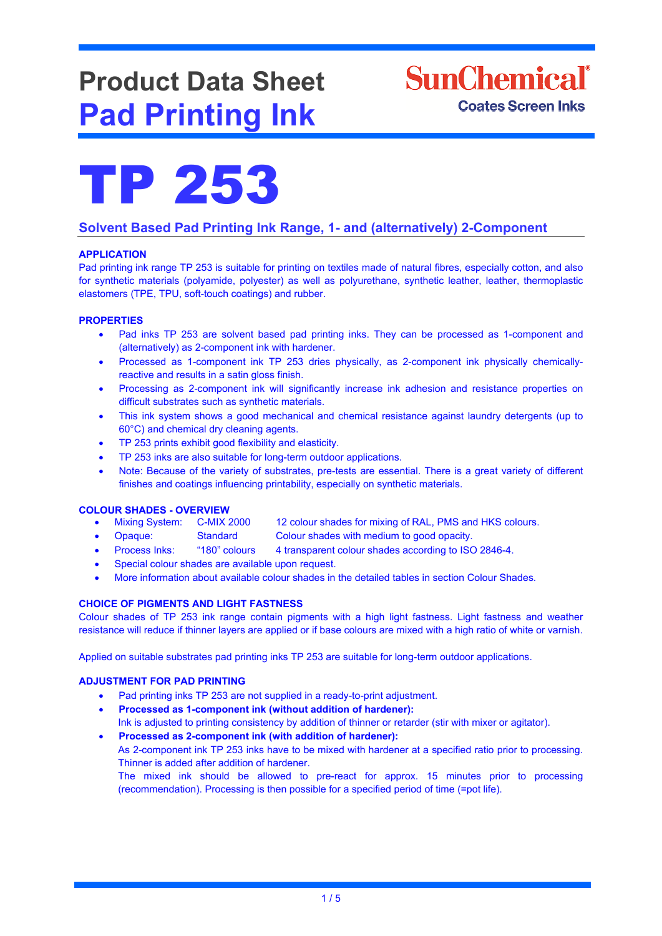# **Product Data Sheet Pad Printing Ink**





## **Solvent Based Pad Printing Ink Range, 1- and (alternatively) 2-Component**

### **APPLICATION**

Pad printing ink range TP 253 is suitable for printing on textiles made of natural fibres, especially cotton, and also for synthetic materials (polyamide, polyester) as well as polyurethane, synthetic leather, leather, thermoplastic elastomers (TPE, TPU, soft-touch coatings) and rubber.

#### **PROPERTIES**

- Pad inks TP 253 are solvent based pad printing inks. They can be processed as 1-component and (alternatively) as 2-component ink with hardener.
- Processed as 1-component ink TP 253 dries physically, as 2-component ink physically chemicallyreactive and results in a satin gloss finish.
- Processing as 2-component ink will significantly increase ink adhesion and resistance properties on difficult substrates such as synthetic materials.
- This ink system shows a good mechanical and chemical resistance against laundry detergents (up to 60°C) and chemical dry cleaning agents.
- TP 253 prints exhibit good flexibility and elasticity.
- TP 253 inks are also suitable for long-term outdoor applications.
- Note: Because of the variety of substrates, pre-tests are essential. There is a great variety of different finishes and coatings influencing printability, especially on synthetic materials.

- **COLOUR SHADES - OVERVIEW** 12 colour shades for mixing of RAL, PMS and HKS colours.
	- Opaque: Standard Colour shades with medium to good opacity.
	- Process Inks: "180" colours 4 transparent colour shades according to ISO 2846-4.
	- Special colour shades are available upon request.
	- More information about available colour shades in the detailed tables in section Colour Shades.

#### **CHOICE OF PIGMENTS AND LIGHT FASTNESS**

Colour shades of TP 253 ink range contain pigments with a high light fastness. Light fastness and weather resistance will reduce if thinner layers are applied or if base colours are mixed with a high ratio of white or varnish.

Applied on suitable substrates pad printing inks TP 253 are suitable for long-term outdoor applications.

### **ADJUSTMENT FOR PAD PRINTING**

- Pad printing inks TP 253 are not supplied in a ready-to-print adjustment.
- **Processed as 1-component ink (without addition of hardener):** Ink is adjusted to printing consistency by addition of thinner or retarder (stir with mixer or agitator).
- **Processed as 2-component ink (with addition of hardener):** As 2-component ink TP 253 inks have to be mixed with hardener at a specified ratio prior to processing. Thinner is added after addition of hardener. The mixed ink should be allowed to pre-react for approx. 15 minutes prior to processing (recommendation). Processing is then possible for a specified period of time (=pot life).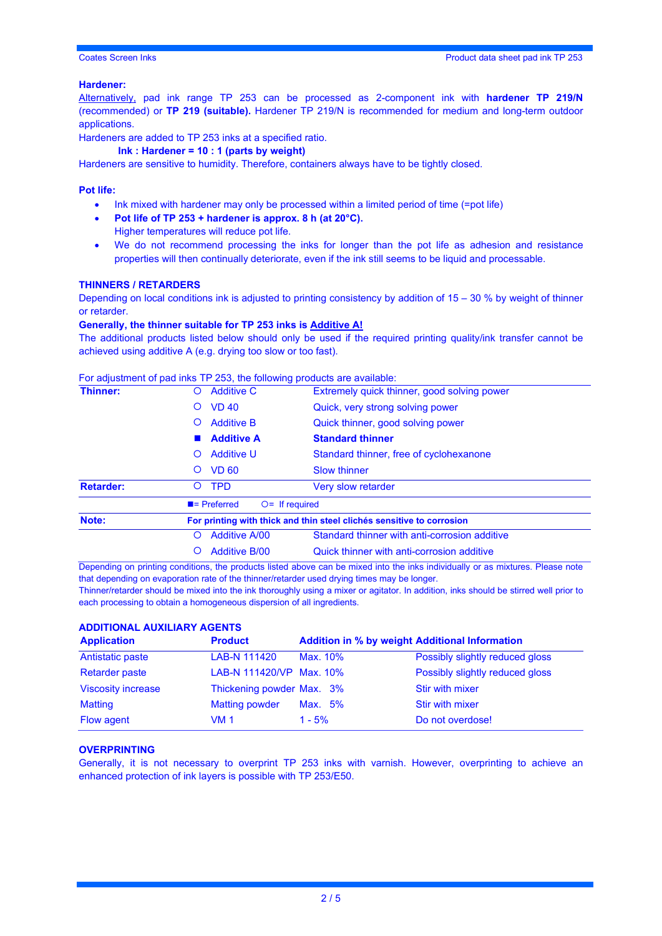#### **Hardener:**

Alternatively, pad ink range TP 253 can be processed as 2-component ink with **hardener TP 219/N** (recommended) or **TP 219 (suitable).** Hardener TP 219/N is recommended for medium and long-term outdoor applications.

Hardeners are added to TP 253 inks at a specified ratio.

**Ink : Hardener = 10 : 1 (parts by weight)**

Hardeners are sensitive to humidity. Therefore, containers always have to be tightly closed.

#### **Pot life:**

- Ink mixed with hardener may only be processed within a limited period of time (=pot life)
- **Pot life of TP 253 + hardener is approx. 8 h (at 20°C).** Higher temperatures will reduce pot life.
- We do not recommend processing the inks for longer than the pot life as adhesion and resistance properties will then continually deteriorate, even if the ink still seems to be liquid and processable.

#### **THINNERS / RETARDERS**

Depending on local conditions ink is adjusted to printing consistency by addition of  $15 - 30$  % by weight of thinner or retarder.

#### **Generally, the thinner suitable for TP 253 inks is Additive A!**

The additional products listed below should only be used if the required printing quality/ink transfer cannot be achieved using additive A (e.g. drying too slow or too fast).

#### For adjustment of pad inks TP 253, the following products are available:

| Thinner:         | <b>Additive C</b><br>O                                                | Extremely quick thinner, good solving power   |  |  |
|------------------|-----------------------------------------------------------------------|-----------------------------------------------|--|--|
|                  | <b>VD 40</b><br>$\circ$                                               | Quick, very strong solving power              |  |  |
|                  | <b>Additive B</b><br>$\circ$                                          | Quick thinner, good solving power             |  |  |
|                  | <b>Additive A</b>                                                     | <b>Standard thinner</b>                       |  |  |
|                  | <b>Additive U</b><br>$\circ$                                          | Standard thinner, free of cyclohexanone       |  |  |
|                  | <b>VD 60</b><br>O                                                     | <b>Slow thinner</b>                           |  |  |
| <b>Retarder:</b> | <b>TPD</b><br>$\Omega$                                                | <b>Very slow retarder</b>                     |  |  |
|                  | $\blacksquare$ Preferred                                              | $Q =$ If required                             |  |  |
| Note:            | For printing with thick and thin steel clichés sensitive to corrosion |                                               |  |  |
|                  | <b>Additive A/00</b><br>O                                             | Standard thinner with anti-corrosion additive |  |  |
|                  | <b>Additive B/00</b>                                                  | Quick thinner with anti-corrosion additive    |  |  |

Depending on printing conditions, the products listed above can be mixed into the inks individually or as mixtures. Please note that depending on evaporation rate of the thinner/retarder used drying times may be longer.

Thinner/retarder should be mixed into the ink thoroughly using a mixer or agitator. In addition, inks should be stirred well prior to each processing to obtain a homogeneous dispersion of all ingredients.

#### **ADDITIONAL AUXILIARY AGENTS**

| <b>Application</b>        | <b>Product</b>            | <b>Addition in % by weight Additional Information</b> |                                 |
|---------------------------|---------------------------|-------------------------------------------------------|---------------------------------|
| Antistatic paste          | LAB-N 111420              | Max. 10%                                              | Possibly slightly reduced gloss |
| <b>Retarder paste</b>     | LAB-N 111420/VP Max. 10%  |                                                       | Possibly slightly reduced gloss |
| <b>Viscosity increase</b> | Thickening powder Max. 3% |                                                       | <b>Stir with mixer</b>          |
| <b>Matting</b>            | <b>Matting powder</b>     | Max. 5%                                               | Stir with mixer                 |
| Flow agent                | <b>VM 1</b>               | $1 - 5%$                                              | Do not overdose!                |

#### **OVERPRINTING**

Generally, it is not necessary to overprint TP 253 inks with varnish. However, overprinting to achieve an enhanced protection of ink layers is possible with TP 253/E50.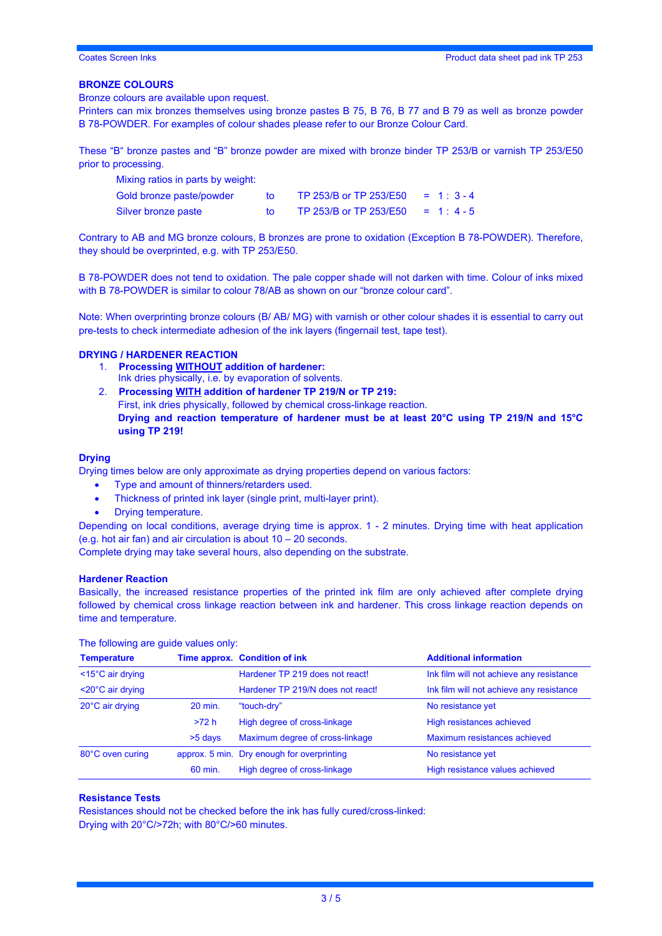#### **BRONZE COLOURS**

Bronze colours are available upon request.

Printers can mix bronzes themselves using bronze pastes B 75, B 76, B 77 and B 79 as well as bronze powder B 78-POWDER. For examples of colour shades please refer to our Bronze Colour Card.

These "B" bronze pastes and "B" bronze powder are mixed with bronze binder TP 253/B or varnish TP 253/E50 prior to processing.

| Mixing ratios in parts by weight: |    |                        |             |
|-----------------------------------|----|------------------------|-------------|
| Gold bronze paste/powder          | to | TP 253/B or TP 253/E50 | $= 1:3 - 4$ |
| Silver bronze paste               |    | TP 253/B or TP 253/E50 | $= 1: 4-5$  |

Contrary to AB and MG bronze colours, B bronzes are prone to oxidation (Exception B 78-POWDER). Therefore, they should be overprinted, e.g. with TP 253/E50.

B 78-POWDER does not tend to oxidation. The pale copper shade will not darken with time. Colour of inks mixed with B 78-POWDER is similar to colour 78/AB as shown on our "bronze colour card".

Note: When overprinting bronze colours (B/ AB/ MG) with varnish or other colour shades it is essential to carry out pre-tests to check intermediate adhesion of the ink layers (fingernail test, tape test).

#### **DRYING / HARDENER REACTION**

- 1. **Processing WITHOUT addition of hardener:** Ink dries physically, i.e. by evaporation of solvents.
- 2. **Processing WITH addition of hardener TP 219/N or TP 219:** First, ink dries physically, followed by chemical cross-linkage reaction. **Drying and reaction temperature of hardener must be at least 20°C using TP 219/N and 15°C using TP 219!**

#### **Drying**

Drying times below are only approximate as drying properties depend on various factors:

- Type and amount of thinners/retarders used.
- Thickness of printed ink layer (single print, multi-layer print).
- Drying temperature.

Depending on local conditions, average drying time is approx. 1 - 2 minutes. Drying time with heat application (e.g. hot air fan) and air circulation is about 10 – 20 seconds.

Complete drying may take several hours, also depending on the substrate.

#### **Hardener Reaction**

Basically, the increased resistance properties of the printed ink film are only achieved after complete drying followed by chemical cross linkage reaction between ink and hardener. This cross linkage reaction depends on time and temperature.

The following are guide values only:

| <b>Temperature</b>             |           | Time approx. Condition of ink              | <b>Additional information</b>            |
|--------------------------------|-----------|--------------------------------------------|------------------------------------------|
| $<$ 15 $^{\circ}$ C air drying |           | Hardener TP 219 does not react!            | Ink film will not achieve any resistance |
| $<$ 20 $^{\circ}$ C air drying |           | Hardener TP 219/N does not react!          | Ink film will not achieve any resistance |
| 20°C air drying                | 20 min.   | "touch-dry"                                | No resistance yet                        |
|                                | >72 h     | High degree of cross-linkage               | High resistances achieved                |
|                                | $>5$ days | Maximum degree of cross-linkage            | Maximum resistances achieved             |
| 80°C oven curing               |           | approx. 5 min. Dry enough for overprinting | No resistance yet                        |
|                                | 60 min.   | High degree of cross-linkage               | High resistance values achieved          |

### **Resistance Tests**

Resistances should not be checked before the ink has fully cured/cross-linked: Drying with 20°C/>72h; with 80°C/>60 minutes.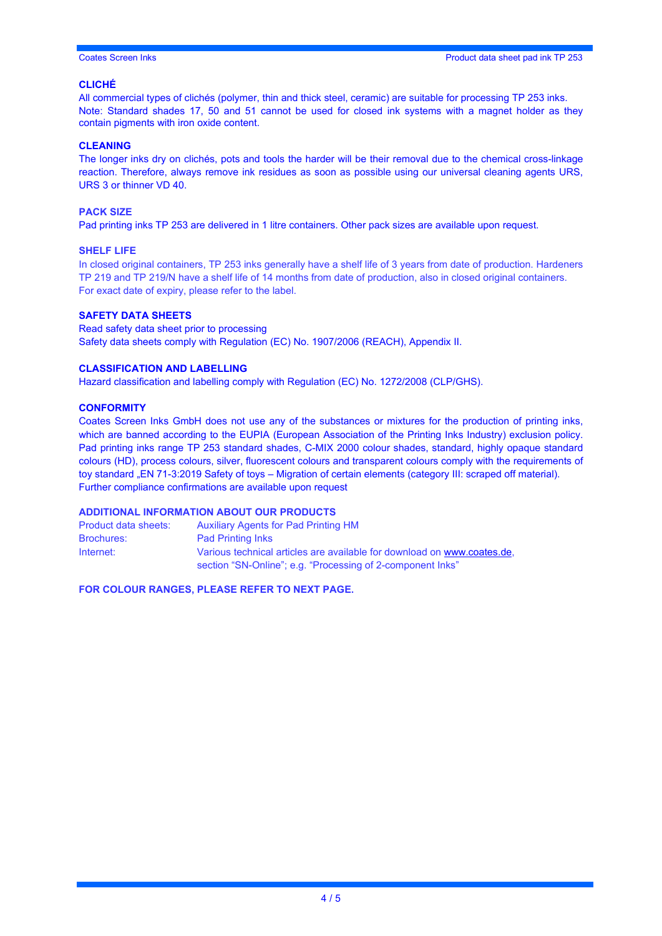#### **CLICHÉ**

All commercial types of clichés (polymer, thin and thick steel, ceramic) are suitable for processing TP 253 inks. Note: Standard shades 17, 50 and 51 cannot be used for closed ink systems with a magnet holder as they contain pigments with iron oxide content.

#### **CLEANING**

The longer inks dry on clichés, pots and tools the harder will be their removal due to the chemical cross-linkage reaction. Therefore, always remove ink residues as soon as possible using our universal cleaning agents URS, URS 3 or thinner VD 40.

#### **PACK SIZE**

Pad printing inks TP 253 are delivered in 1 litre containers. Other pack sizes are available upon request.

#### **SHELF LIFE**

In closed original containers, TP 253 inks generally have a shelf life of 3 years from date of production. Hardeners TP 219 and TP 219/N have a shelf life of 14 months from date of production, also in closed original containers. For exact date of expiry, please refer to the label.

#### **SAFETY DATA SHEETS**

Read safety data sheet prior to processing Safety data sheets comply with Regulation (EC) No. 1907/2006 (REACH), Appendix II.

#### **CLASSIFICATION AND LABELLING**

Hazard classification and labelling comply with Regulation (EC) No. 1272/2008 (CLP/GHS).

#### **CONFORMITY**

Coates Screen Inks GmbH does not use any of the substances or mixtures for the production of printing inks, which are banned according to the EUPIA (European Association of the Printing Inks Industry) exclusion policy. Pad printing inks range TP 253 standard shades, C-MIX 2000 colour shades, standard, highly opaque standard colours (HD), process colours, silver, fluorescent colours and transparent colours comply with the requirements of toy standard "EN 71-3:2019 Safety of toys – Migration of certain elements (category III: scraped off material). Further compliance confirmations are available upon request

#### **ADDITIONAL INFORMATION ABOUT OUR PRODUCTS**

| Product data sheets: | <b>Auxiliary Agents for Pad Printing HM</b>                                                                                           |
|----------------------|---------------------------------------------------------------------------------------------------------------------------------------|
| <b>Brochures:</b>    | <b>Pad Printing Inks</b>                                                                                                              |
| Internet:            | Various technical articles are available for download on www.coates.de.<br>section "SN-Online"; e.g. "Processing of 2-component lnks" |

**FOR COLOUR RANGES, PLEASE REFER TO NEXT PAGE.**